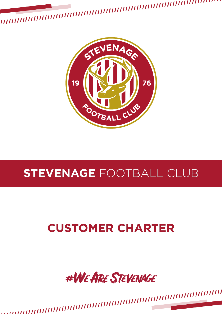

,,,,,,,,,,,,,,,,,,,,,,,,,,,,,,,

,,,,,,,,,,,

,,,,,,,,,,

### **STEVENAGE** FOOTBALL CLUB

#### **CUSTOMER CHARTER**

### #WEARE STEVENAGE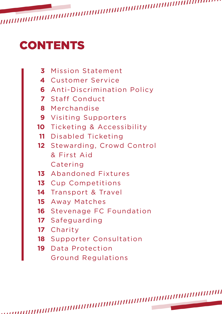# **CONTENTS**

- Mission Statement
- Customer Service
- Anti-Discrimination Policy
- Staff Conduct
- Merchandise
- Visiting Supporters
- Ticketing & Accessibility
- Disabled Ticketing
- Stewarding, Crowd Control & First Aid Catering
- Abandoned Fixtures
- Cup Competitions
- Transport & Travel
- Away Matches
- Stevenage FC Foundation
- Safeguarding
- Charity
- Supporter Consultation
- Data Protection Ground Regulations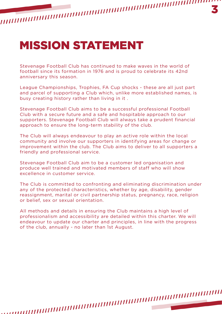## MISSION STATEMENT

Stevenage Football Club has continued to make waves in the world of football since its formation in 1976 and is proud to celebrate its 42nd anniversary this season.

League Championships, Trophies, FA Cup shocks - these are all just part and parcel of supporting a Club which, unlike more established names, is busy creating history rather than living in it .

Stevenage Football Club aims to be a successful professional Football Club with a secure future and a safe and hospitable approach to our supporters. Stevenage Football Club will always take a prudent financial approach to ensure the long-term stability of the club.

The Club will always endeavour to play an active role within the local community and involve our supporters in identifying areas for change or improvement within the club. The Club aims to deliver to all supporters a friendly and professional service.

Stevenage Football Club aim to be a customer led organisation and produce well trained and motivated members of staff who will show excellence in customer service.

The Club is committed to confronting and eliminating discrimination under any of the protected characteristics, whether by age, disability, gender reassignment, marital or civil partnership status, pregnancy, race, religion or belief, sex or sexual orientation.

All methods and details in ensuring the Club maintains a high level of professionalism and accessibility are detailed within this charter. We will endeavour to update our charter and principles, in line with the progress of the club, annually - no later than 1st August.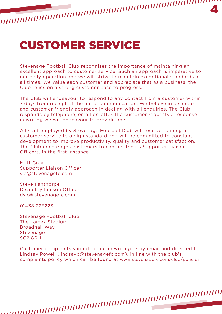## CUSTOMER SERVICE

Stevenage Football Club recognises the importance of maintaining an excellent approach to customer service. Such an approach is imperative to our daily operation and we will strive to maintain exceptional standards at all times. We value each customer and appreciate that as a business, the Club relies on a strong customer base to progress.

The Club will endeavour to respond to any contact from a customer within 7 days from receipt of the initial communication. We believe in a simple and customer friendly approach in dealing with all enquiries. The Club responds by telephone, email or letter. If a customer requests a response in writing we will endeavour to provide one.

All staff employed by Stevenage Football Club will receive training in customer service to a high standard and will be committed to constant development to improve productivity, quality and customer satisfaction. The Club encourages customers to contact the its Supporter Liaison Officers, in the first instance.

Matt Gray Supporter Liaison Officer slo@stevenagefc.com

Steve Fanthorpe Disability Liaison Officer dslo@stevenagefc.com

01438 223223

Stevenage Football Club The Lamex Stadium Broadhall Way Stevenage SG2 8RH

Customer complaints should be put in writing or by email and directed to Lindsay Powell (lindsayp@stevenagefc.com), in line with the club's complaints policy which can be found at www.stevenagefc.com/club/policies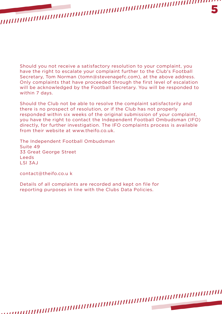Should you not receive a satisfactory resolution to your complaint, you have the right to escalate your complaint further to the Club's Football Secretary, Tom Norman (tomn@stevenagefc.com), at the above address. Only complaints that have proceeded through the first level of escalation will be acknowledged by the Football Secretary. You will be responded to within 7 days.

5

Should the Club not be able to resolve the complaint satisfactorily and there is no prospect of resolution, or if the Club has not properly responded within six weeks of the original submission of your complaint, you have the right to contact the Independent Football Ombudsman (IFO) directly, for further investigation. The IFO complaints process is available from their website at www.theifo.co.uk.

The Independent Football Ombudsman Suite 49 33 Great George Street Leeds LSl 3AJ

contact@theifo.co.u k

Details of all complaints are recorded and kept on file for reporting purposes in line with the Clubs Data Policies.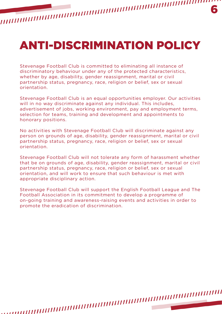## ANTI-DISCRIMINATION POLICY

Stevenage Football Club is committed to eliminating all instance of discriminatory behaviour under any of the protected characteristics, whether by age, disability, gender reassignment, marital or civil partnership status, pregnancy, race, religion or belief, sex or sexual orientation.

Stevenage Football Club is an equal opportunities employer. Our activities will in no way discriminate against any individual. This includes, advertisement of jobs, working environment, pay and employment terms, selection for teams, training and development and appointments to honorary positions.

No activities with Stevenage Football Club will discriminate against any person on grounds of age, disability, gender reassignment, marital or civil partnership status, pregnancy, race, religion or belief, sex or sexual orientation.

Stevenage Football Club will not tolerate any form of harassment whether that be on grounds of age, disability, gender reassignment, marital or civil partnership status, pregnancy, race, religion or belief, sex or sexual orientation, and will work to ensure that such behaviour is met with appropriate disciplinary action.

Stevenage Football Club will support the English Football League and The Football Association in its commitment to develop a programme of on-going training and awareness-raising events and activities in order to promote the eradication of discrimination.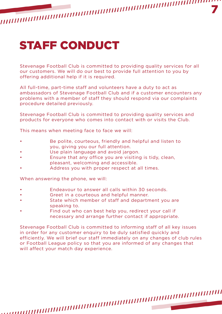# STAFF CONDUCT

Stevenage Football Club is committed to providing quality services for all our customers. We will do our best to provide full attention to you by offering additional help if it is required.

All full-time, part-time staff and volunteers have a duty to act as ambassadors of Stevenage Football Club and if a customer encounters any problems with a member of staff they should respond via our complaints procedure detailed previously.

Stevenage Football Club is committed to providing quality services and products for everyone who comes into contact with or visits the Club.

This means when meeting face to face we will:

- Be polite, courteous, friendly and helpful and listen to you, giving you our full attention.
- Use plain language and avoid jargon.
- Ensure that any office you are visiting is tidy, clean, pleasant, welcoming and accessible.
- Address you with proper respect at all times.

When answering the phone, we will:

- Endeavour to answer all calls within 30 seconds.
- Greet in a courteous and helpful manner.
- State which member of staff and department you are speaking to.
- Find out who can best help you, redirect your call if necessary and arrange further contact if appropriate.

Stevenage Football Club is committed to informing staff of all key issues in order for any customer enquiry to be duly satisfied quickly and efficiently. We will brief our staff immediately on any changes of club rules or Football League policy so that you are informed of any changes that will affect your match day experience.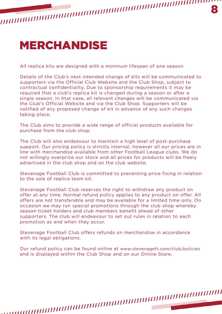#### MERCHANDISE

All replica kits are designed with a minimum lifespan of one season.

Details of the Club's next intended change of kits will be communicated to supporters via the Official Club Website and the Club Shop, subject to contractual confidentiality. Due to sponsorship requirements it may be required that a club's replica kit is changed during a season or after a single season. In that case, all relevant changes will be communicated via the Club's Official Website and via the Club Shop. Supporters will be notified of any proposed change of kit in advance of any such changes taking place.

The Club aims to provide a wide range of official products available for purchase from the club shop.

The Club will also endeavour to maintain a high level of post-purchase support. Our pricing policy is strictly internal, however all our prices are in line with merchandise available from other Football League clubs. We do not willingly overprice our stock and all prices for products will be freely advertised in the club shop and on the club website.

Stevenage Football Club is committed to preventing price fixing in relation to the sale of replica team kit.

Stevenage Football Club reserves the right to withdraw any product on offer at any time. Normal refund policy applies to any product on offer. All offers are not transferable and may be available for a limited time only. On occasion we may run special promotions through the club shop whereby season ticket holders and club members benefit ahead of other supporters. The club will endeavour to set out rules in relation to each promotion as and when they occur.

Stevenage Football Club offers refunds on merchandise in accordance with its legal obligations.

Our refund policy can be found online at www.stevenagefc.com/club/policies and is displayed within the Club Shop and on our Online Store.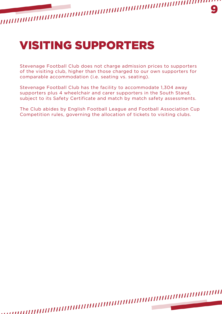Stevenage Football Club does not charge admission prices to supporters of the visiting club, higher than those charged to our own supporters for comparable accommodation (*i.e.* seating vs. seating).

Stevenage Football Club has the facility to accommodate 1,304 away supporters plus 4 wheelchair and carer supporters in the South Stand, subject to its Safety Certificate and match by match safety assessments.

The Club abides by English Football League and Football Association Cup Competition rules, governing the allocation of tickets to visiting clubs.

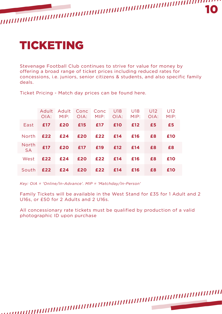

Stevenage Football Club continues to strive for value for money by offering a broad range of ticket prices including reduced rates for concessions, i.e. juniors, senior citizens & students, and also specific family deals.

|                    | $O(A)$ : |     | MIP: OIA: | Adult Adult Conc Conc U18 U18 U12<br>MIP: OIA: MIP: |             |     | O(A) | U12<br>MIP: |
|--------------------|----------|-----|-----------|-----------------------------------------------------|-------------|-----|------|-------------|
|                    |          |     |           |                                                     |             |     |      |             |
| East               | £17      | £20 | £15       | £17 £10                                             |             | £12 | £5   | £5          |
| North 1            | £22      |     | £24 £20   |                                                     | $£22$ $£14$ | £16 | £8   | £10         |
| North<br><b>SA</b> | £17      | £20 |           | £17 £19 £12                                         | O           | £14 | £8   | £8          |
| West               | £22      | £24 | £20       | £22 £14                                             |             | £16 | £8   | £10         |
| South              | £22      | £24 | £20       | £22                                                 | £14         | £16 | £8   | £10         |

Ticket Pricing - Match day prices can be found here.

*Key: OIA = 'Online/In-Advance'. MIP = 'Matchday/In-Person'*

Family Tickets will be available in the West Stand for £35 for 1 Adult and 2 U16s, or £50 for 2 Adults and 2 U16s.

All concessionary rate tickets must be qualified by production of a valid photographic ID upon purchase

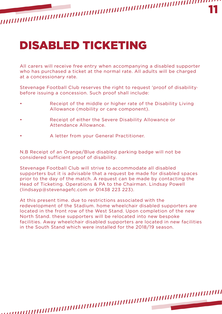#### 11

## DISABLED TICKETING

All carers will receive free entry when accompanying a disabled supporter who has purchased a ticket at the normal rate. All adults will be charged at a concessionary rate.

Stevenage Football Club reserves the right to request 'proof of disability· before issuing a concession. Such proof shall include:

- Receipt of the middle or higher rate of the Disability Living Allowance (mobility or care component).
- Receipt of either the Severe Disability Allowance or Attendance Allowance.
- A letter from your General Practitioner.

N.B Receipt of an Orange/Blue disabled parking badge will not be considered sufficient proof of disability.

Stevenage Football Club will strive to accommodate all disabled supporters but it is advisable that a request be made for disabled spaces prior to the day of the match. A request can be made by contacting the Head of Ticketing. Operations & PA to the Chairman. Lindsay Powell (lindsayp@stevenagefc.com or 01438 223 223).

At this present time. due to restrictions associated with the redevelopment of the Stadium. home wheelchair disabled supporters are located in the front row of the West Stand. Upon completion of the new North Stand. these supporters will be relocated into new bespoke facilities. Away wheelchair disabled supporters are located in new facilities in the South Stand which were installed for the 2018/19 season.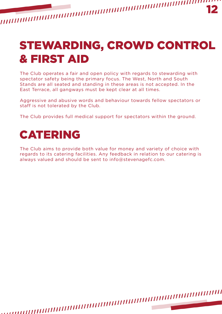# STEWARDING, CROWD CONTROL & FIRST AID

The Club operates a fair and open policy with regards to stewarding with spectator safety being the primary focus. The West, North and South Stands are all seated and standing in these areas is not accepted. In the East Terrace, all gangways must be kept clear at all times.

Aggressive and abusive words and behaviour towards fellow spectators or staff is not tolerated by the Club.

The Club provides full medical support for spectators within the ground.

#### CATERING

The Club aims to provide both value for money and variety of choice with regards to its catering facilities. Any feedback in relation to our catering is always valued and should be sent to info@stevenagefc.com.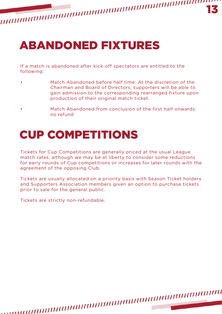

If a match is abandoned after kick-off spectators are entitled to the following:

- Match Abandoned before half time: At the discretion of the Chairman and Board of Directors, supporters will be able to gain admission to the corresponding rearranged fixture upon production of their original match ticket.
- Match Abandoned from conclusion of the first half onwards: no refund

#### CUP COMPETITIONS

Tickets for Cup Competitions are generally priced at the usual League match rates, although we may be at liberty to consider some reductions for early rounds of Cup competitions or increases for later rounds with the agreement of the opposing Club.

Tickets are usually allocated on a priority basis with Season Ticket holders and Supporters Association members given an option to purchase tickets prior to sale for the general public.

Tickets are strictly non-refundable.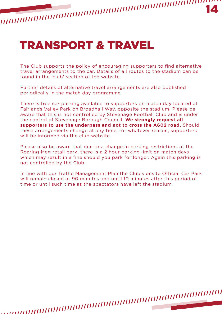## TRANSPORT & TRAVEL

The Club supports the policy of encouraging supporters to find alternative travel arrangements to the car. Details of all routes to the stadium can be found in the 'club' section of the website.

Further details of alternative travel arrangements are also published periodically in the match day programme.

There is free car parking available to supporters on match day located at Fairlands Valley Park on Broadhall Way. opposite the stadium. Please be aware that this is not controlled by Stevenage Football Club and is under the control of Stevenage Borough Council. **We strongly request all supporters to use the underpass and not to cross the A602 road.** Should these arrangements change at any time, for whatever reason, supporters will be informed via the club website.

Please also be aware that due to a change in parking restrictions at the Roaring Meg retail park. there is a 2 hour parking limit on match days which may result in a fine should you park for longer. Again this parking is not controlled by the Club.

In line with our Traffic Management Plan the Club's onsite Official Car Park will remain closed at 90 minutes and until 10 minutes after this period of time or until such time as the spectators have left the stadium.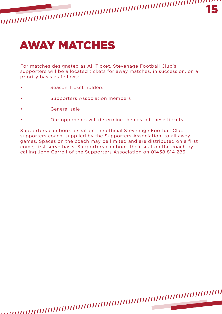

## AWAY MATCHES

For matches designated as All Ticket, Stevenage Football Club's supporters will be allocated tickets for away matches, in succession, on a priority basis as follows:

- Season Ticket holders
- Supporters Association members
- General sale
- Our opponents will determine the cost of these tickets.

Supporters can book a seat on the official Stevenage Football Club supporters coach, supplied by the Supporters Association, to all away games. Spaces on the coach may be limited and are distributed on a first come, first serve basis. Supporters can book their seat on the coach by calling John Carroll of the Supporters Association on 01438 814 285.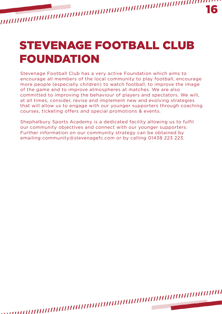STEVENAGE FOOTBALL CLUB FOUNDATION

Stevenage Football Club has a very active Foundation which aims to encourage all members of the local community to play football, encourage more people (especially children) to watch football, to improve the image of the game and to improve atmospheres at matches. We are also committed to improving the behaviour of players and spectators. We will, at all times, consider, revise and implement new and evolving strategies that will allow us to engage with our younger supporters through coaching courses, ticketing offers and special promotions & events.

Shephalbury Sports Academy is a dedicated facility allowing us to fulfil our community objectives and connect with our younger supporters. Further information on our community strategy can be obtained by emailing community@stevenagefc.com or by calling 01438 223 223.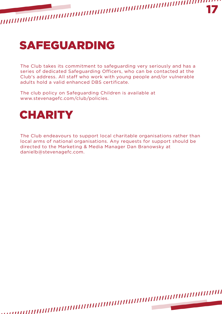

#### SAFEGUARDING

The Club takes its commitment to safeguarding very seriously and has a series of dedicated Safeguarding Officers, who can be contacted at the Club's address. All staff who work with young people and/or vulnerable adults hold a valid enhanced DBS certificate.

The club policy on Safeguarding Children is available at www.stevenagefc.com/club/policies.



The Club endeavours to support local charitable organisations rather than local arms of national organisations. Any requests for support should be directed to the Marketing & Media Manager Dan Branowsky at danielb@stevenagefc.com.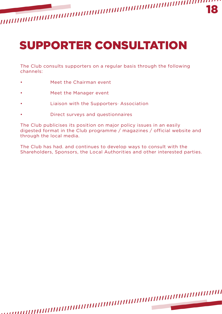# SUPPORTER CONSULTATION

The Club consults supporters on a regular basis through the following channels:

- Meet the Chairman event
- Meet the Manager event
- Liaison with the Supporters· Association
- Direct surveys and questionnaires

The Club publicises its position on major policy issues in an easily digested format in the Club programme / magazines / official website and through the local media.

The Club has had. and continues to develop ways to consult with the Shareholders, Sponsors, the Local Authorities and other interested parties.